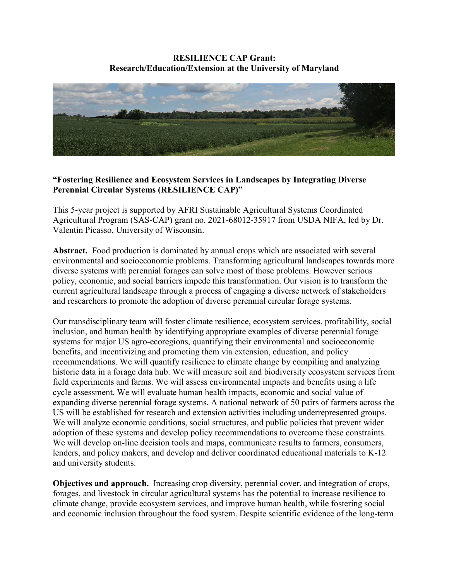#### **RESILIENCE CAP Grant: Research/Education/Extension at the University of Maryland**



#### **"Fostering Resilience and Ecosystem Services in Landscapes by Integrating Diverse Perennial Circular Systems (RESILIENCE CAP)"**

This 5-year project is supported by AFRI Sustainable Agricultural Systems Coordinated Agricultural Program (SAS-CAP) grant no. 2021-68012-35917 from USDA NIFA, led by Dr. Valentin Picasso, University of Wisconsin.

**Abstract.** Food production is dominated by annual crops which are associated with several environmental and socioeconomic problems. Transforming agricultural landscapes towards more diverse systems with perennial forages can solve most of those problems. However serious policy, economic, and social barriers impede this transformation. Our vision is to transform the current agricultural landscape through a process of engaging a diverse network of stakeholders and researchers to promote the adoption of diverse perennial circular forage systems.

Our transdisciplinary team will foster climate resilience, ecosystem services, profitability, social inclusion, and human health by identifying appropriate examples of diverse perennial forage systems for major US agro-ecoregions, quantifying their environmental and socioeconomic benefits, and incentivizing and promoting them via extension, education, and policy recommendations. We will quantify resilience to climate change by compiling and analyzing historic data in a forage data hub. We will measure soil and biodiversity ecosystem services from field experiments and farms. We will assess environmental impacts and benefits using a life cycle assessment. We will evaluate human health impacts, economic and social value of expanding diverse perennial forage systems. A national network of 50 pairs of farmers across the US will be established for research and extension activities including underrepresented groups. We will analyze economic conditions, social structures, and public policies that prevent wider adoption of these systems and develop policy recommendations to overcome these constraints. We will develop on-line decision tools and maps, communicate results to farmers, consumers, lenders, and policy makers, and develop and deliver coordinated educational materials to K-12 and university students.

**Objectives and approach.** Increasing crop diversity, perennial cover, and integration of crops, forages, and livestock in circular agricultural systems has the potential to increase resilience to climate change, provide ecosystem services, and improve human health, while fostering social and economic inclusion throughout the food system. Despite scientific evidence of the long-term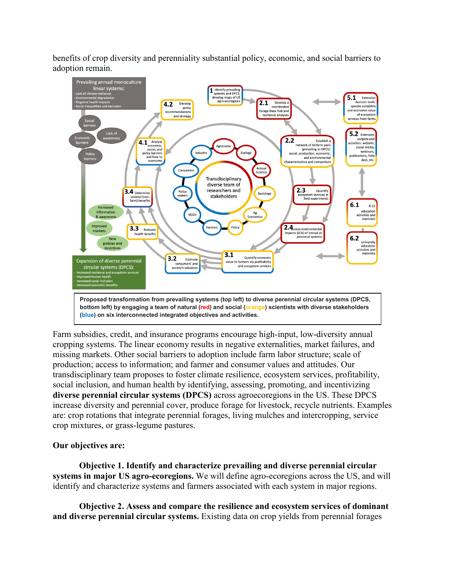benefits of crop diversity and perenniality substantial policy, economic, and social barriers to adoption remain.



**bottom left) by engaging a team of natural (red) and social (orange) scientists with diverse stakeholders (blue) on six interconnected integrated objectives and activities.**

Farm subsidies, credit, and insurance programs encourage high-input, low-diversity annual cropping systems. The linear economy results in negative externalities, market failures, and missing markets. Other social barriers to adoption include farm labor structure; scale of production; access to information; and farmer and consumer values and attitudes. Our transdisciplinary team proposes to foster climate resilience, ecosystem services, profitability, social inclusion, and human health by identifying, assessing, promoting, and incentivizing **diverse perennial circular systems (DPCS)** across agroecoregions in the US. These DPCS increase diversity and perennial cover, produce forage for livestock, recycle nutrients. Examples are: crop rotations that integrate perennial forages, living mulches and intercropping, service crop mixtures, or grass-legume pastures.

#### **Our objectives are:**

**Objective 1. Identify and characterize prevailing and diverse perennial circular systems in major US agro-ecoregions.** We will define agro-ecoregions across the US, and will identify and characterize systems and farmers associated with each system in major regions.

**Objective 2. Assess and compare the resilience and ecosystem services of dominant and diverse perennial circular systems.** Existing data on crop yields from perennial forages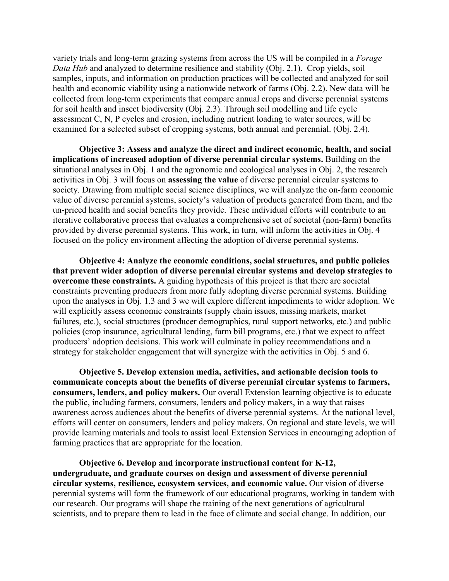variety trials and long-term grazing systems from across the US will be compiled in a *Forage Data Hub* and analyzed to determine resilience and stability (Obj. 2.1). Crop yields, soil samples, inputs, and information on production practices will be collected and analyzed for soil health and economic viability using a nationwide network of farms (Obj. 2.2). New data will be collected from long-term experiments that compare annual crops and diverse perennial systems for soil health and insect biodiversity (Obj. 2.3). Through soil modelling and life cycle assessment C, N, P cycles and erosion, including nutrient loading to water sources, will be examined for a selected subset of cropping systems, both annual and perennial. (Obj. 2.4).

**Objective 3: Assess and analyze the direct and indirect economic, health, and social implications of increased adoption of diverse perennial circular systems.** Building on the situational analyses in Obj. 1 and the agronomic and ecological analyses in Obj. 2, the research activities in Obj. 3 will focus on **assessing the value** of diverse perennial circular systems to society. Drawing from multiple social science disciplines, we will analyze the on-farm economic value of diverse perennial systems, society's valuation of products generated from them, and the un-priced health and social benefits they provide. These individual efforts will contribute to an iterative collaborative process that evaluates a comprehensive set of societal (non-farm) benefits provided by diverse perennial systems. This work, in turn, will inform the activities in Obj. 4 focused on the policy environment affecting the adoption of diverse perennial systems.

**Objective 4: Analyze the economic conditions, social structures, and public policies that prevent wider adoption of diverse perennial circular systems and develop strategies to overcome these constraints.** A guiding hypothesis of this project is that there are societal constraints preventing producers from more fully adopting diverse perennial systems. Building upon the analyses in Obj. 1.3 and 3 we will explore different impediments to wider adoption. We will explicitly assess economic constraints (supply chain issues, missing markets, market failures, etc.), social structures (producer demographics, rural support networks, etc.) and public policies (crop insurance, agricultural lending, farm bill programs, etc.) that we expect to affect producers' adoption decisions. This work will culminate in policy recommendations and a strategy for stakeholder engagement that will synergize with the activities in Obj. 5 and 6.

**Objective 5. Develop extension media, activities, and actionable decision tools to communicate concepts about the benefits of diverse perennial circular systems to farmers, consumers, lenders, and policy makers.** Our overall Extension learning objective is to educate the public, including farmers, consumers, lenders and policy makers, in a way that raises awareness across audiences about the benefits of diverse perennial systems. At the national level, efforts will center on consumers, lenders and policy makers. On regional and state levels, we will provide learning materials and tools to assist local Extension Services in encouraging adoption of farming practices that are appropriate for the location.

**Objective 6. Develop and incorporate instructional content for K-12, undergraduate, and graduate courses on design and assessment of diverse perennial circular systems, resilience, ecosystem services, and economic value.** Our vision of diverse perennial systems will form the framework of our educational programs, working in tandem with our research. Our programs will shape the training of the next generations of agricultural scientists, and to prepare them to lead in the face of climate and social change. In addition, our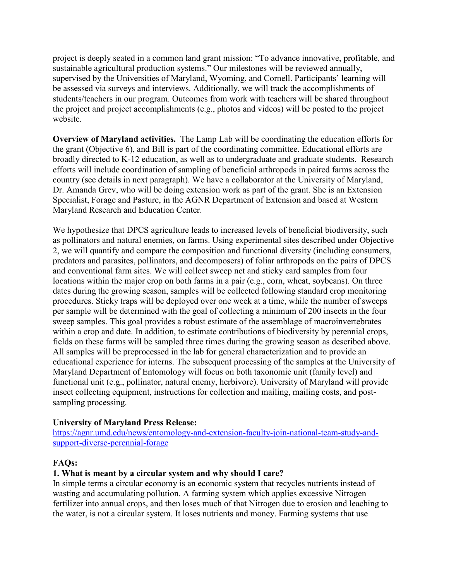project is deeply seated in a common land grant mission: "To advance innovative, profitable, and sustainable agricultural production systems." Our milestones will be reviewed annually, supervised by the Universities of Maryland, Wyoming, and Cornell. Participants' learning will be assessed via surveys and interviews. Additionally, we will track the accomplishments of students/teachers in our program. Outcomes from work with teachers will be shared throughout the project and project accomplishments (e.g., photos and videos) will be posted to the project website.

**Overview of Maryland activities.** The Lamp Lab will be coordinating the education efforts for the grant (Objective 6), and Bill is part of the coordinating committee. Educational efforts are broadly directed to K-12 education, as well as to undergraduate and graduate students. Research efforts will include coordination of sampling of beneficial arthropods in paired farms across the country (see details in next paragraph). We have a collaborator at the University of Maryland, Dr. Amanda Grev, who will be doing extension work as part of the grant. She is an Extension Specialist, Forage and Pasture, in the AGNR Department of Extension and based at Western Maryland Research and Education Center.

We hypothesize that DPCS agriculture leads to increased levels of beneficial biodiversity, such as pollinators and natural enemies, on farms. Using experimental sites described under Objective 2, we will quantify and compare the composition and functional diversity (including consumers, predators and parasites, pollinators, and decomposers) of foliar arthropods on the pairs of DPCS and conventional farm sites. We will collect sweep net and sticky card samples from four locations within the major crop on both farms in a pair (e.g., corn, wheat, soybeans). On three dates during the growing season, samples will be collected following standard crop monitoring procedures. Sticky traps will be deployed over one week at a time, while the number of sweeps per sample will be determined with the goal of collecting a minimum of 200 insects in the four sweep samples. This goal provides a robust estimate of the assemblage of macroinvertebrates within a crop and date. In addition, to estimate contributions of biodiversity by perennial crops, fields on these farms will be sampled three times during the growing season as described above. All samples will be preprocessed in the lab for general characterization and to provide an educational experience for interns. The subsequent processing of the samples at the University of Maryland Department of Entomology will focus on both taxonomic unit (family level) and functional unit (e.g., pollinator, natural enemy, herbivore). University of Maryland will provide insect collecting equipment, instructions for collection and mailing, mailing costs, and postsampling processing.

# **University of Maryland Press Release:**

[https://agnr.umd.edu/news/entomology-and-extension-faculty-join-national-team-study-and](https://agnr.umd.edu/news/entomology-and-extension-faculty-join-national-team-study-and-support-diverse-perennial-forage)[support-diverse-perennial-forage](https://agnr.umd.edu/news/entomology-and-extension-faculty-join-national-team-study-and-support-diverse-perennial-forage)

#### **FAQs:**

#### **1. What is meant by a circular system and why should I care?**

In simple terms a circular economy is an economic system that recycles nutrients instead of wasting and accumulating pollution. A farming system which applies excessive Nitrogen fertilizer into annual crops, and then loses much of that Nitrogen due to erosion and leaching to the water, is not a circular system. It loses nutrients and money. Farming systems that use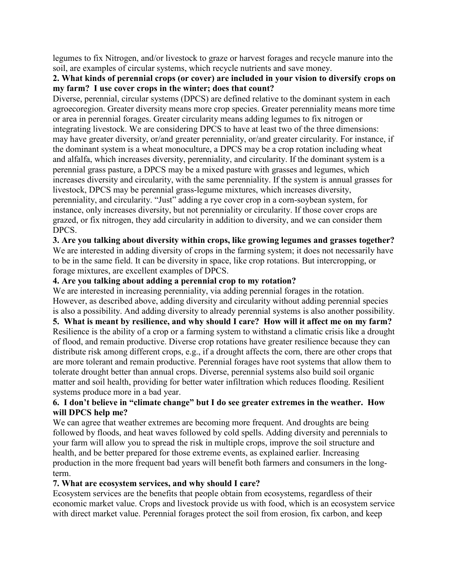legumes to fix Nitrogen, and/or livestock to graze or harvest forages and recycle manure into the soil, are examples of circular systems, which recycle nutrients and save money.

# **2. What kinds of perennial crops (or cover) are included in your vision to diversify crops on my farm? I use cover crops in the winter; does that count?**

Diverse, perennial, circular systems (DPCS) are defined relative to the dominant system in each agroecoregion. Greater diversity means more crop species. Greater perenniality means more time or area in perennial forages. Greater circularity means adding legumes to fix nitrogen or integrating livestock. We are considering DPCS to have at least two of the three dimensions: may have greater diversity, or/and greater perenniality, or/and greater circularity. For instance, if the dominant system is a wheat monoculture, a DPCS may be a crop rotation including wheat and alfalfa, which increases diversity, perenniality, and circularity. If the dominant system is a perennial grass pasture, a DPCS may be a mixed pasture with grasses and legumes, which increases diversity and circularity, with the same perenniality. If the system is annual grasses for livestock, DPCS may be perennial grass-legume mixtures, which increases diversity, perenniality, and circularity. "Just" adding a rye cover crop in a corn-soybean system, for instance, only increases diversity, but not perenniality or circularity. If those cover crops are grazed, or fix nitrogen, they add circularity in addition to diversity, and we can consider them DPCS.

# **3. Are you talking about diversity within crops, like growing legumes and grasses together?**

We are interested in adding diversity of crops in the farming system; it does not necessarily have to be in the same field. It can be diversity in space, like crop rotations. But intercropping, or forage mixtures, are excellent examples of DPCS.

# **4. Are you talking about adding a perennial crop to my rotation?**

We are interested in increasing perenniality, via adding perennial forages in the rotation. However, as described above, adding diversity and circularity without adding perennial species is also a possibility. And adding diversity to already perennial systems is also another possibility.

**5. What is meant by resilience, and why should I care? How will it affect me on my farm?** Resilience is the ability of a crop or a farming system to withstand a climatic crisis like a drought of flood, and remain productive. Diverse crop rotations have greater resilience because they can distribute risk among different crops, e.g., if a drought affects the corn, there are other crops that are more tolerant and remain productive. Perennial forages have root systems that allow them to tolerate drought better than annual crops. Diverse, perennial systems also build soil organic matter and soil health, providing for better water infiltration which reduces flooding. Resilient systems produce more in a bad year.

# **6. I don't believe in "climate change" but I do see greater extremes in the weather. How will DPCS help me?**

We can agree that weather extremes are becoming more frequent. And droughts are being followed by floods, and heat waves followed by cold spells. Adding diversity and perennials to your farm will allow you to spread the risk in multiple crops, improve the soil structure and health, and be better prepared for those extreme events, as explained earlier. Increasing production in the more frequent bad years will benefit both farmers and consumers in the longterm.

# **7. What are ecosystem services, and why should I care?**

Ecosystem services are the benefits that people obtain from ecosystems, regardless of their economic market value. Crops and livestock provide us with food, which is an ecosystem service with direct market value. Perennial forages protect the soil from erosion, fix carbon, and keep